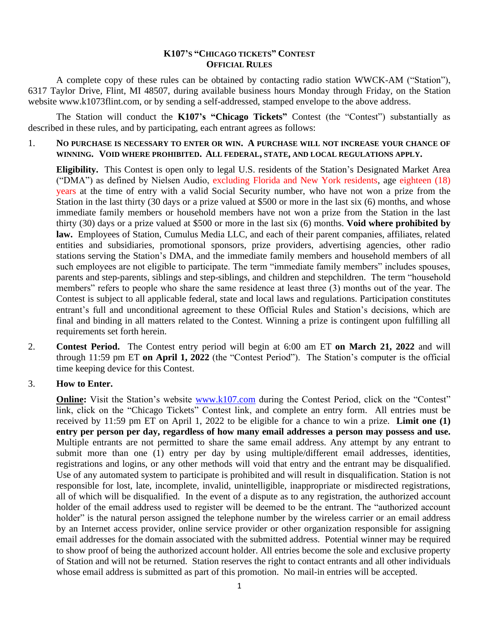## **K107'S "CHICAGO TICKETS" CONTEST OFFICIAL RULES**

A complete copy of these rules can be obtained by contacting radio station WWCK-AM ("Station"), 6317 Taylor Drive, Flint, MI 48507, during available business hours Monday through Friday, on the Station website www.k1073flint.com, or by sending a self-addressed, stamped envelope to the above address.

The Station will conduct the **K107's "Chicago Tickets"** Contest (the "Contest") substantially as described in these rules, and by participating, each entrant agrees as follows:

1. **NO PURCHASE IS NECESSARY TO ENTER OR WIN. A PURCHASE WILL NOT INCREASE YOUR CHANCE OF WINNING. VOID WHERE PROHIBITED. ALL FEDERAL, STATE, AND LOCAL REGULATIONS APPLY.**

**Eligibility.** This Contest is open only to legal U.S. residents of the Station's Designated Market Area ("DMA") as defined by Nielsen Audio, excluding Florida and New York residents, age eighteen (18) years at the time of entry with a valid Social Security number, who have not won a prize from the Station in the last thirty (30 days or a prize valued at \$500 or more in the last six (6) months, and whose immediate family members or household members have not won a prize from the Station in the last thirty (30) days or a prize valued at \$500 or more in the last six (6) months. **Void where prohibited by law.** Employees of Station, Cumulus Media LLC, and each of their parent companies, affiliates, related entities and subsidiaries, promotional sponsors, prize providers, advertising agencies, other radio stations serving the Station's DMA, and the immediate family members and household members of all such employees are not eligible to participate. The term "immediate family members" includes spouses, parents and step-parents, siblings and step-siblings, and children and stepchildren. The term "household members" refers to people who share the same residence at least three (3) months out of the year. The Contest is subject to all applicable federal, state and local laws and regulations. Participation constitutes entrant's full and unconditional agreement to these Official Rules and Station's decisions, which are final and binding in all matters related to the Contest. Winning a prize is contingent upon fulfilling all requirements set forth herein.

2. **Contest Period.** The Contest entry period will begin at 6:00 am ET **on March 21, 2022** and will through 11:59 pm ET **on April 1, 2022** (the "Contest Period"). The Station's computer is the official time keeping device for this Contest.

## 3. **How to Enter.**

**Online:** Visit the Station's website [www.k107.com](http://www.k107.com/) during the Contest Period, click on the "Contest" link, click on the "Chicago Tickets" Contest link, and complete an entry form. All entries must be received by 11:59 pm ET on April 1, 2022 to be eligible for a chance to win a prize. **Limit one (1) entry per person per day, regardless of how many email addresses a person may possess and use.** Multiple entrants are not permitted to share the same email address. Any attempt by any entrant to submit more than one (1) entry per day by using multiple/different email addresses, identities, registrations and logins, or any other methods will void that entry and the entrant may be disqualified. Use of any automated system to participate is prohibited and will result in disqualification. Station is not responsible for lost, late, incomplete, invalid, unintelligible, inappropriate or misdirected registrations, all of which will be disqualified. In the event of a dispute as to any registration, the authorized account holder of the email address used to register will be deemed to be the entrant. The "authorized account holder" is the natural person assigned the telephone number by the wireless carrier or an email address by an Internet access provider, online service provider or other organization responsible for assigning email addresses for the domain associated with the submitted address. Potential winner may be required to show proof of being the authorized account holder. All entries become the sole and exclusive property of Station and will not be returned. Station reserves the right to contact entrants and all other individuals whose email address is submitted as part of this promotion. No mail-in entries will be accepted.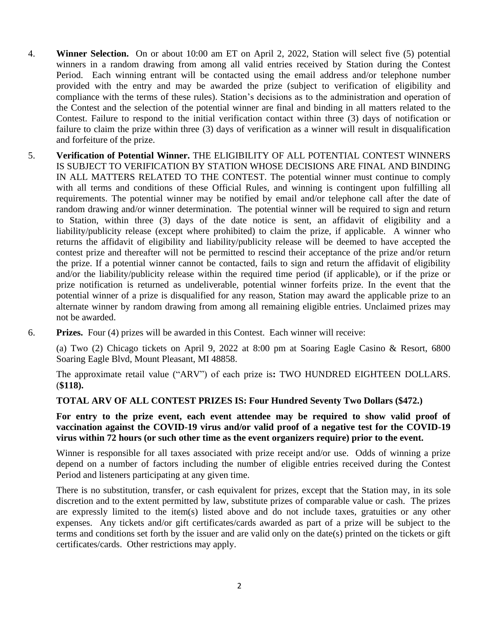- 4. **Winner Selection.** On or about 10:00 am ET on April 2, 2022, Station will select five (5) potential winners in a random drawing from among all valid entries received by Station during the Contest Period. Each winning entrant will be contacted using the email address and/or telephone number provided with the entry and may be awarded the prize (subject to verification of eligibility and compliance with the terms of these rules). Station's decisions as to the administration and operation of the Contest and the selection of the potential winner are final and binding in all matters related to the Contest. Failure to respond to the initial verification contact within three (3) days of notification or failure to claim the prize within three (3) days of verification as a winner will result in disqualification and forfeiture of the prize.
- 5. **Verification of Potential Winner.** THE ELIGIBILITY OF ALL POTENTIAL CONTEST WINNERS IS SUBJECT TO VERIFICATION BY STATION WHOSE DECISIONS ARE FINAL AND BINDING IN ALL MATTERS RELATED TO THE CONTEST. The potential winner must continue to comply with all terms and conditions of these Official Rules, and winning is contingent upon fulfilling all requirements. The potential winner may be notified by email and/or telephone call after the date of random drawing and/or winner determination. The potential winner will be required to sign and return to Station, within three (3) days of the date notice is sent, an affidavit of eligibility and a liability/publicity release (except where prohibited) to claim the prize, if applicable. A winner who returns the affidavit of eligibility and liability/publicity release will be deemed to have accepted the contest prize and thereafter will not be permitted to rescind their acceptance of the prize and/or return the prize. If a potential winner cannot be contacted, fails to sign and return the affidavit of eligibility and/or the liability/publicity release within the required time period (if applicable), or if the prize or prize notification is returned as undeliverable, potential winner forfeits prize. In the event that the potential winner of a prize is disqualified for any reason, Station may award the applicable prize to an alternate winner by random drawing from among all remaining eligible entries. Unclaimed prizes may not be awarded.
- 6. **Prizes.** Four (4) prizes will be awarded in this Contest. Each winner will receive:

(a) Two (2) Chicago tickets on April 9, 2022 at 8:00 pm at Soaring Eagle Casino & Resort, 6800 Soaring Eagle Blvd, Mount Pleasant, MI 48858.

The approximate retail value ("ARV") of each prize is**:** TWO HUNDRED EIGHTEEN DOLLARS. (**\$118).** 

**TOTAL ARV OF ALL CONTEST PRIZES IS: Four Hundred Seventy Two Dollars (\$472.)**

**For entry to the prize event, each event attendee may be required to show valid proof of vaccination against the COVID-19 virus and/or valid proof of a negative test for the COVID-19 virus within 72 hours (or such other time as the event organizers require) prior to the event.**

Winner is responsible for all taxes associated with prize receipt and/or use. Odds of winning a prize depend on a number of factors including the number of eligible entries received during the Contest Period and listeners participating at any given time.

There is no substitution, transfer, or cash equivalent for prizes, except that the Station may, in its sole discretion and to the extent permitted by law, substitute prizes of comparable value or cash. The prizes are expressly limited to the item(s) listed above and do not include taxes, gratuities or any other expenses. Any tickets and/or gift certificates/cards awarded as part of a prize will be subject to the terms and conditions set forth by the issuer and are valid only on the date(s) printed on the tickets or gift certificates/cards. Other restrictions may apply.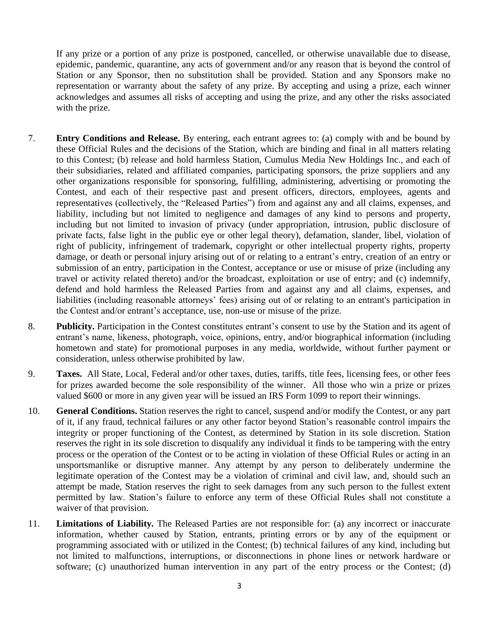If any prize or a portion of any prize is postponed, cancelled, or otherwise unavailable due to disease, epidemic, pandemic, quarantine, any acts of government and/or any reason that is beyond the control of Station or any Sponsor, then no substitution shall be provided. Station and any Sponsors make no representation or warranty about the safety of any prize. By accepting and using a prize, each winner acknowledges and assumes all risks of accepting and using the prize, and any other the risks associated with the prize.

- 7. **Entry Conditions and Release.** By entering, each entrant agrees to: (a) comply with and be bound by these Official Rules and the decisions of the Station, which are binding and final in all matters relating to this Contest; (b) release and hold harmless Station, Cumulus Media New Holdings Inc., and each of their subsidiaries, related and affiliated companies, participating sponsors, the prize suppliers and any other organizations responsible for sponsoring, fulfilling, administering, advertising or promoting the Contest, and each of their respective past and present officers, directors, employees, agents and representatives (collectively, the "Released Parties") from and against any and all claims, expenses, and liability, including but not limited to negligence and damages of any kind to persons and property, including but not limited to invasion of privacy (under appropriation, intrusion, public disclosure of private facts, false light in the public eye or other legal theory), defamation, slander, libel, violation of right of publicity, infringement of trademark, copyright or other intellectual property rights, property damage, or death or personal injury arising out of or relating to a entrant's entry, creation of an entry or submission of an entry, participation in the Contest, acceptance or use or misuse of prize (including any travel or activity related thereto) and/or the broadcast, exploitation or use of entry; and (c) indemnify, defend and hold harmless the Released Parties from and against any and all claims, expenses, and liabilities (including reasonable attorneys' fees) arising out of or relating to an entrant's participation in the Contest and/or entrant's acceptance, use, non-use or misuse of the prize.
- 8. **Publicity.** Participation in the Contest constitutes entrant's consent to use by the Station and its agent of entrant's name, likeness, photograph, voice, opinions, entry, and/or biographical information (including hometown and state) for promotional purposes in any media, worldwide, without further payment or consideration, unless otherwise prohibited by law.
- 9. **Taxes.** All State, Local, Federal and/or other taxes, duties, tariffs, title fees, licensing fees, or other fees for prizes awarded become the sole responsibility of the winner. All those who win a prize or prizes valued \$600 or more in any given year will be issued an IRS Form 1099 to report their winnings.
- 10. **General Conditions.** Station reserves the right to cancel, suspend and/or modify the Contest, or any part of it, if any fraud, technical failures or any other factor beyond Station's reasonable control impairs the integrity or proper functioning of the Contest, as determined by Station in its sole discretion. Station reserves the right in its sole discretion to disqualify any individual it finds to be tampering with the entry process or the operation of the Contest or to be acting in violation of these Official Rules or acting in an unsportsmanlike or disruptive manner. Any attempt by any person to deliberately undermine the legitimate operation of the Contest may be a violation of criminal and civil law, and, should such an attempt be made, Station reserves the right to seek damages from any such person to the fullest extent permitted by law. Station's failure to enforce any term of these Official Rules shall not constitute a waiver of that provision.
- 11. **Limitations of Liability.** The Released Parties are not responsible for: (a) any incorrect or inaccurate information, whether caused by Station, entrants, printing errors or by any of the equipment or programming associated with or utilized in the Contest; (b) technical failures of any kind, including but not limited to malfunctions, interruptions, or disconnections in phone lines or network hardware or software; (c) unauthorized human intervention in any part of the entry process or the Contest; (d)